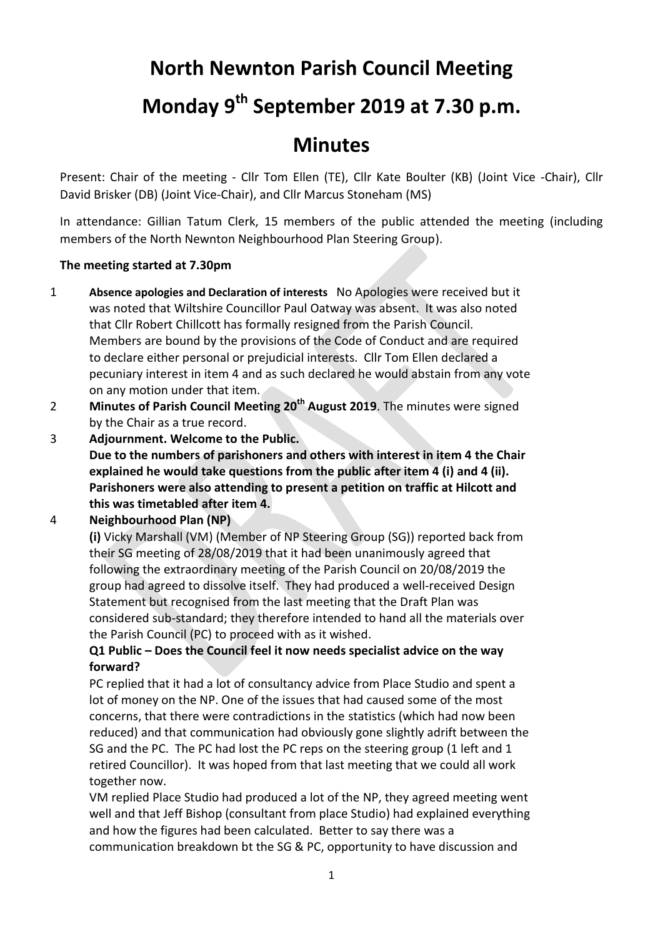# **North Newnton Parish Council Meeting**

# **Monday 9th September 2019 at 7.30 p.m.**

# **Minutes**

Present: Chair of the meeting - Cllr Tom Ellen (TE), Cllr Kate Boulter (KB) (Joint Vice -Chair), Cllr David Brisker (DB) (Joint Vice-Chair), and Cllr Marcus Stoneham (MS)

In attendance: Gillian Tatum Clerk, 15 members of the public attended the meeting (including members of the North Newnton Neighbourhood Plan Steering Group).

## **The meeting started at 7.30pm**

- 1 **Absence apologies and Declaration of interests** No Apologies were received but it was noted that Wiltshire Councillor Paul Oatway was absent. It was also noted that Cllr Robert Chillcott has formally resigned from the Parish Council. Members are bound by the provisions of the Code of Conduct and are required to declare either personal or prejudicial interests. Cllr Tom Ellen declared a pecuniary interest in item 4 and as such declared he would abstain from any vote on any motion under that item.
- 2 **Minutes of Parish Council Meeting 20th August 2019**. The minutes were signed by the Chair as a true record.
- 3 **Adjournment. Welcome to the Public. Due to the numbers of parishoners and others with interest in item 4 the Chair explained he would take questions from the public after item 4 (i) and 4 (ii). Parishoners were also attending to present a petition on traffic at Hilcott and this was timetabled after item 4.**

## 4 **Neighbourhood Plan (NP)**

**(i)** Vicky Marshall (VM) (Member of NP Steering Group (SG)) reported back from their SG meeting of 28/08/2019 that it had been unanimously agreed that following the extraordinary meeting of the Parish Council on 20/08/2019 the group had agreed to dissolve itself. They had produced a well-received Design Statement but recognised from the last meeting that the Draft Plan was considered sub-standard; they therefore intended to hand all the materials over the Parish Council (PC) to proceed with as it wished.

# **Q1 Public – Does the Council feel it now needs specialist advice on the way forward?**

PC replied that it had a lot of consultancy advice from Place Studio and spent a lot of money on the NP. One of the issues that had caused some of the most concerns, that there were contradictions in the statistics (which had now been reduced) and that communication had obviously gone slightly adrift between the SG and the PC. The PC had lost the PC reps on the steering group (1 left and 1 retired Councillor). It was hoped from that last meeting that we could all work together now.

VM replied Place Studio had produced a lot of the NP, they agreed meeting went well and that Jeff Bishop (consultant from place Studio) had explained everything and how the figures had been calculated. Better to say there was a communication breakdown bt the SG & PC, opportunity to have discussion and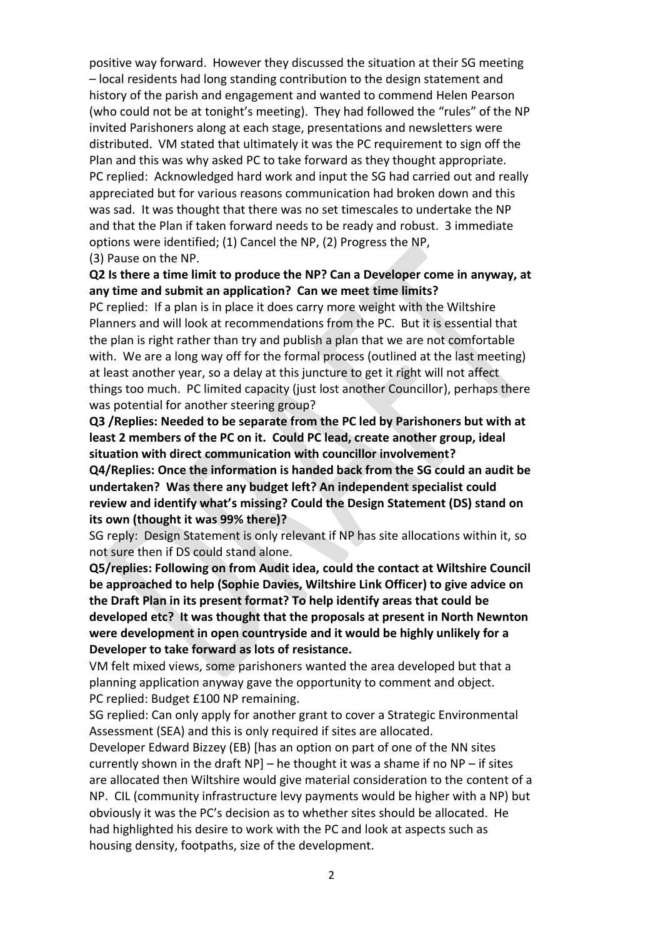positive way forward. However they discussed the situation at their SG meeting – local residents had long standing contribution to the design statement and history of the parish and engagement and wanted to commend Helen Pearson (who could not be at tonight's meeting). They had followed the "rules" of the NP invited Parishoners along at each stage, presentations and newsletters were distributed. VM stated that ultimately it was the PC requirement to sign off the Plan and this was why asked PC to take forward as they thought appropriate. PC replied: Acknowledged hard work and input the SG had carried out and really appreciated but for various reasons communication had broken down and this was sad. It was thought that there was no set timescales to undertake the NP and that the Plan if taken forward needs to be ready and robust. 3 immediate options were identified; (1) Cancel the NP, (2) Progress the NP, (3) Pause on the NP.

**Q2 Is there a time limit to produce the NP? Can a Developer come in anyway, at any time and submit an application? Can we meet time limits?**

PC replied: If a plan is in place it does carry more weight with the Wiltshire Planners and will look at recommendations from the PC. But it is essential that the plan is right rather than try and publish a plan that we are not comfortable with. We are a long way off for the formal process (outlined at the last meeting) at least another year, so a delay at this juncture to get it right will not affect things too much. PC limited capacity (just lost another Councillor), perhaps there was potential for another steering group?

**Q3 /Replies: Needed to be separate from the PC led by Parishoners but with at least 2 members of the PC on it. Could PC lead, create another group, ideal situation with direct communication with councillor involvement? Q4/Replies: Once the information is handed back from the SG could an audit be undertaken? Was there any budget left? An independent specialist could review and identify what's missing? Could the Design Statement (DS) stand on its own (thought it was 99% there)?**

SG reply: Design Statement is only relevant if NP has site allocations within it, so not sure then if DS could stand alone.

**Q5/replies: Following on from Audit idea, could the contact at Wiltshire Council be approached to help (Sophie Davies, Wiltshire Link Officer) to give advice on the Draft Plan in its present format? To help identify areas that could be developed etc? It was thought that the proposals at present in North Newnton were development in open countryside and it would be highly unlikely for a Developer to take forward as lots of resistance.**

VM felt mixed views, some parishoners wanted the area developed but that a planning application anyway gave the opportunity to comment and object. PC replied: Budget £100 NP remaining.

SG replied: Can only apply for another grant to cover a Strategic Environmental Assessment (SEA) and this is only required if sites are allocated.

Developer Edward Bizzey (EB) [has an option on part of one of the NN sites currently shown in the draft  $NP$ ] – he thought it was a shame if no  $NP$  – if sites are allocated then Wiltshire would give material consideration to the content of a NP. CIL (community infrastructure levy payments would be higher with a NP) but obviously it was the PC's decision as to whether sites should be allocated. He had highlighted his desire to work with the PC and look at aspects such as housing density, footpaths, size of the development.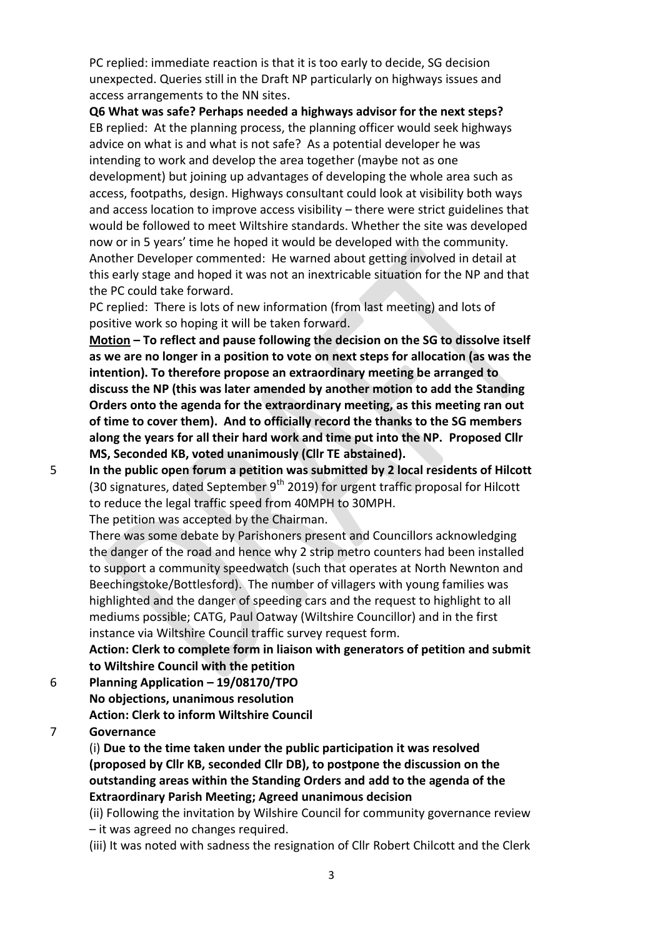PC replied: immediate reaction is that it is too early to decide, SG decision unexpected. Queries still in the Draft NP particularly on highways issues and access arrangements to the NN sites.

**Q6 What was safe? Perhaps needed a highways advisor for the next steps?** EB replied: At the planning process, the planning officer would seek highways advice on what is and what is not safe? As a potential developer he was intending to work and develop the area together (maybe not as one development) but joining up advantages of developing the whole area such as access, footpaths, design. Highways consultant could look at visibility both ways and access location to improve access visibility – there were strict guidelines that would be followed to meet Wiltshire standards. Whether the site was developed now or in 5 years' time he hoped it would be developed with the community. Another Developer commented: He warned about getting involved in detail at this early stage and hoped it was not an inextricable situation for the NP and that the PC could take forward.

PC replied: There is lots of new information (from last meeting) and lots of positive work so hoping it will be taken forward.

**Motion – To reflect and pause following the decision on the SG to dissolve itself as we are no longer in a position to vote on next steps for allocation (as was the intention). To therefore propose an extraordinary meeting be arranged to discuss the NP (this was later amended by another motion to add the Standing Orders onto the agenda for the extraordinary meeting, as this meeting ran out of time to cover them). And to officially record the thanks to the SG members along the years for all their hard work and time put into the NP. Proposed Cllr MS, Seconded KB, voted unanimously (Cllr TE abstained).**

5 **In the public open forum a petition was submitted by 2 local residents of Hilcott**  (30 signatures, dated September  $9<sup>th</sup>$  2019) for urgent traffic proposal for Hilcott to reduce the legal traffic speed from 40MPH to 30MPH.

The petition was accepted by the Chairman.

There was some debate by Parishoners present and Councillors acknowledging the danger of the road and hence why 2 strip metro counters had been installed to support a community speedwatch (such that operates at North Newnton and Beechingstoke/Bottlesford). The number of villagers with young families was highlighted and the danger of speeding cars and the request to highlight to all mediums possible; CATG, Paul Oatway (Wiltshire Councillor) and in the first instance via Wiltshire Council traffic survey request form.

**Action: Clerk to complete form in liaison with generators of petition and submit to Wiltshire Council with the petition**

6 **Planning Application – 19/08170/TPO No objections, unanimous resolution Action: Clerk to inform Wiltshire Council**

#### 7 **Governance**

(i) **Due to the time taken under the public participation it was resolved (proposed by Cllr KB, seconded Cllr DB), to postpone the discussion on the outstanding areas within the Standing Orders and add to the agenda of the Extraordinary Parish Meeting; Agreed unanimous decision**

(ii) Following the invitation by Wilshire Council for community governance review – it was agreed no changes required.

(iii) It was noted with sadness the resignation of Cllr Robert Chilcott and the Clerk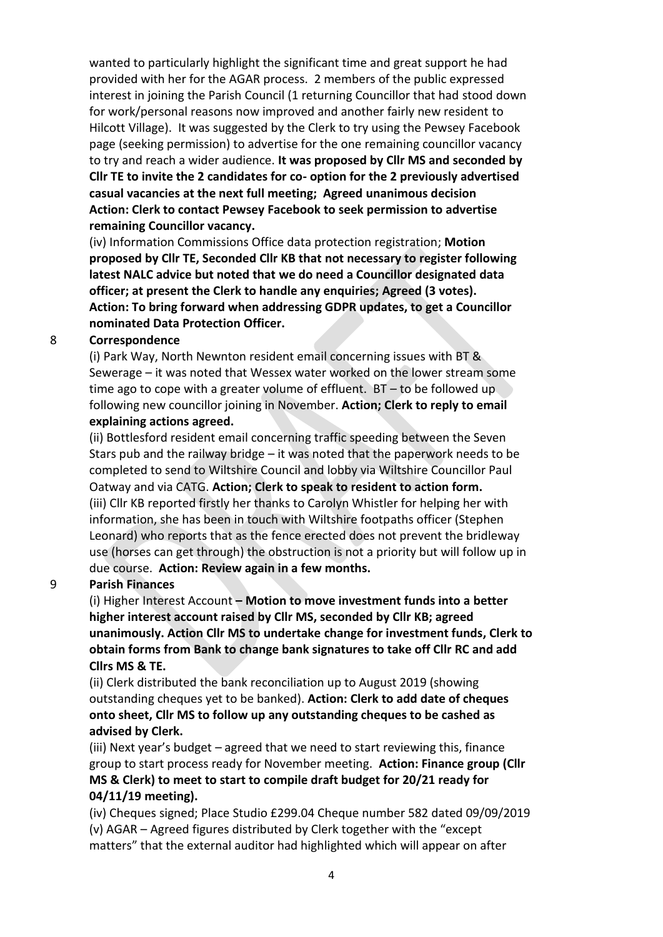wanted to particularly highlight the significant time and great support he had provided with her for the AGAR process. 2 members of the public expressed interest in joining the Parish Council (1 returning Councillor that had stood down for work/personal reasons now improved and another fairly new resident to Hilcott Village). It was suggested by the Clerk to try using the Pewsey Facebook page (seeking permission) to advertise for the one remaining councillor vacancy to try and reach a wider audience. **It was proposed by Cllr MS and seconded by Cllr TE to invite the 2 candidates for co- option for the 2 previously advertised casual vacancies at the next full meeting; Agreed unanimous decision Action: Clerk to contact Pewsey Facebook to seek permission to advertise remaining Councillor vacancy.**

(iv) Information Commissions Office data protection registration; **Motion proposed by Cllr TE, Seconded Cllr KB that not necessary to register following latest NALC advice but noted that we do need a Councillor designated data officer; at present the Clerk to handle any enquiries; Agreed (3 votes). Action: To bring forward when addressing GDPR updates, to get a Councillor nominated Data Protection Officer.**

#### 8 **Correspondence**

(i) Park Way, North Newnton resident email concerning issues with BT & Sewerage – it was noted that Wessex water worked on the lower stream some time ago to cope with a greater volume of effluent. BT – to be followed up following new councillor joining in November. **Action; Clerk to reply to email explaining actions agreed.**

(ii) Bottlesford resident email concerning traffic speeding between the Seven Stars pub and the railway bridge – it was noted that the paperwork needs to be completed to send to Wiltshire Council and lobby via Wiltshire Councillor Paul Oatway and via CATG. **Action; Clerk to speak to resident to action form.** (iii) Cllr KB reported firstly her thanks to Carolyn Whistler for helping her with information, she has been in touch with Wiltshire footpaths officer (Stephen Leonard) who reports that as the fence erected does not prevent the bridleway use (horses can get through) the obstruction is not a priority but will follow up in due course. **Action: Review again in a few months.**

#### 9 **Parish Finances**

(i) Higher Interest Account **– Motion to move investment funds into a better higher interest account raised by Cllr MS, seconded by Cllr KB; agreed unanimously. Action Cllr MS to undertake change for investment funds, Clerk to obtain forms from Bank to change bank signatures to take off Cllr RC and add Cllrs MS & TE.**

(ii) Clerk distributed the bank reconciliation up to August 2019 (showing outstanding cheques yet to be banked). **Action: Clerk to add date of cheques onto sheet, Cllr MS to follow up any outstanding cheques to be cashed as advised by Clerk.**

(iii) Next year's budget – agreed that we need to start reviewing this, finance group to start process ready for November meeting. **Action: Finance group (Cllr MS & Clerk) to meet to start to compile draft budget for 20/21 ready for 04/11/19 meeting).**

(iv) Cheques signed; Place Studio £299.04 Cheque number 582 dated 09/09/2019 (v) AGAR – Agreed figures distributed by Clerk together with the "except matters" that the external auditor had highlighted which will appear on after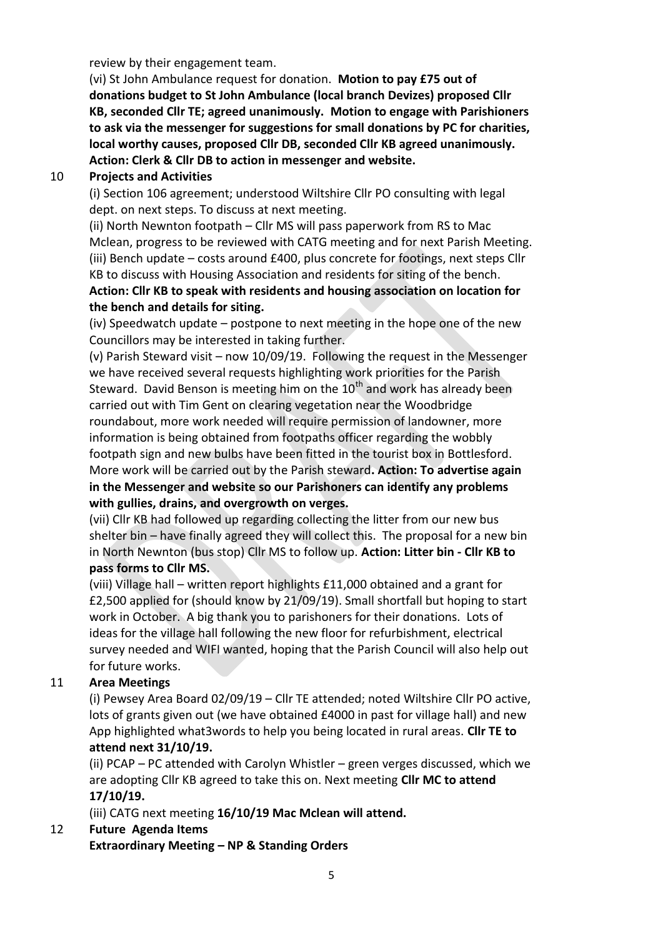review by their engagement team.

(vi) St John Ambulance request for donation. **Motion to pay £75 out of donations budget to St John Ambulance (local branch Devizes) proposed Cllr KB, seconded Cllr TE; agreed unanimously. Motion to engage with Parishioners to ask via the messenger for suggestions for small donations by PC for charities, local worthy causes, proposed Cllr DB, seconded Cllr KB agreed unanimously. Action: Clerk & Cllr DB to action in messenger and website.**

### 10 **Projects and Activities**

(i) Section 106 agreement; understood Wiltshire Cllr PO consulting with legal dept. on next steps. To discuss at next meeting.

(ii) North Newnton footpath – Cllr MS will pass paperwork from RS to Mac Mclean, progress to be reviewed with CATG meeting and for next Parish Meeting. (iii) Bench update – costs around £400, plus concrete for footings, next steps Cllr KB to discuss with Housing Association and residents for siting of the bench.

# **Action: Cllr KB to speak with residents and housing association on location for the bench and details for siting.**

(iv) Speedwatch update – postpone to next meeting in the hope one of the new Councillors may be interested in taking further.

(v) Parish Steward visit – now 10/09/19. Following the request in the Messenger we have received several requests highlighting work priorities for the Parish Steward. David Benson is meeting him on the  $10<sup>th</sup>$  and work has already been carried out with Tim Gent on clearing vegetation near the Woodbridge roundabout, more work needed will require permission of landowner, more information is being obtained from footpaths officer regarding the wobbly footpath sign and new bulbs have been fitted in the tourist box in Bottlesford. More work will be carried out by the Parish steward**. Action: To advertise again in the Messenger and website so our Parishoners can identify any problems with gullies, drains, and overgrowth on verges.**

(vii) Cllr KB had followed up regarding collecting the litter from our new bus shelter bin – have finally agreed they will collect this. The proposal for a new bin in North Newnton (bus stop) Cllr MS to follow up. **Action: Litter bin - Cllr KB to pass forms to Cllr MS.** 

(viii) Village hall – written report highlights £11,000 obtained and a grant for £2,500 applied for (should know by 21/09/19). Small shortfall but hoping to start work in October. A big thank you to parishoners for their donations. Lots of ideas for the village hall following the new floor for refurbishment, electrical survey needed and WIFI wanted, hoping that the Parish Council will also help out for future works.

## 11 **Area Meetings**

(i) Pewsey Area Board 02/09/19 – Cllr TE attended; noted Wiltshire Cllr PO active, lots of grants given out (we have obtained £4000 in past for village hall) and new App highlighted what3words to help you being located in rural areas. **Cllr TE to attend next 31/10/19.**

(ii) PCAP – PC attended with Carolyn Whistler – green verges discussed, which we are adopting Cllr KB agreed to take this on. Next meeting **Cllr MC to attend 17/10/19.**

(iii) CATG next meeting **16/10/19 Mac Mclean will attend.**

# 12 **Future Agenda Items**

**Extraordinary Meeting – NP & Standing Orders**